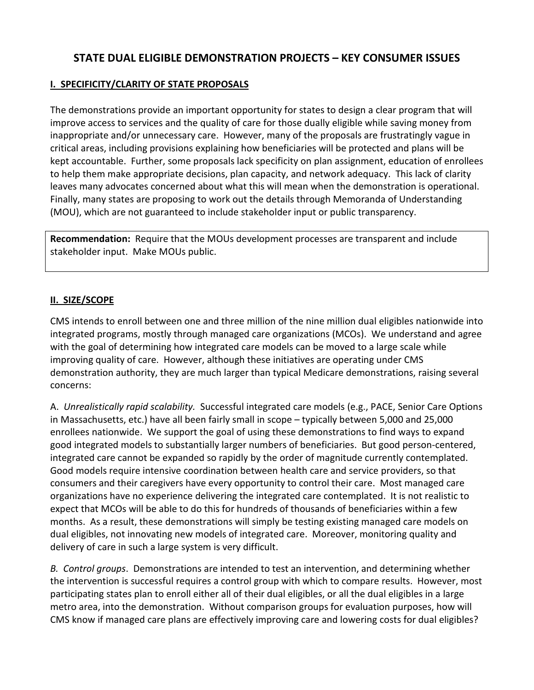# STATE DUAL ELIGIBLE DEMONSTRATION PROJECTS – KEY CONSUMER ISSUES

#### I. SPECIFICITY/CLARITY OF STATE PROPOSALS

The demonstrations provide an important opportunity for states to design a clear program that will improve access to services and the quality of care for those dually eligible while saving money from inappropriate and/or unnecessary care. However, many of the proposals are frustratingly vague in critical areas, including provisions explaining how beneficiaries will be protected and plans will be kept accountable. Further, some proposals lack specificity on plan assignment, education of enrollees to help them make appropriate decisions, plan capacity, and network adequacy. This lack of clarity leaves many advocates concerned about what this will mean when the demonstration is operational. Finally, many states are proposing to work out the details through Memoranda of Understanding (MOU), which are not guaranteed to include stakeholder input or public transparency.

Recommendation: Require that the MOUs development processes are transparent and include stakeholder input. Make MOUs public.

#### II. SIZE/SCOPE

CMS intends to enroll between one and three million of the nine million dual eligibles nationwide into integrated programs, mostly through managed care organizations (MCOs). We understand and agree with the goal of determining how integrated care models can be moved to a large scale while improving quality of care. However, although these initiatives are operating under CMS demonstration authority, they are much larger than typical Medicare demonstrations, raising several concerns:

A. Unrealistically rapid scalability. Successful integrated care models (e.g., PACE, Senior Care Options in Massachusetts, etc.) have all been fairly small in scope – typically between 5,000 and 25,000 enrollees nationwide. We support the goal of using these demonstrations to find ways to expand good integrated models to substantially larger numbers of beneficiaries. But good person-centered, integrated care cannot be expanded so rapidly by the order of magnitude currently contemplated. Good models require intensive coordination between health care and service providers, so that consumers and their caregivers have every opportunity to control their care. Most managed care organizations have no experience delivering the integrated care contemplated. It is not realistic to expect that MCOs will be able to do this for hundreds of thousands of beneficiaries within a few months. As a result, these demonstrations will simply be testing existing managed care models on dual eligibles, not innovating new models of integrated care. Moreover, monitoring quality and delivery of care in such a large system is very difficult.

B. Control groups. Demonstrations are intended to test an intervention, and determining whether the intervention is successful requires a control group with which to compare results. However, most participating states plan to enroll either all of their dual eligibles, or all the dual eligibles in a large metro area, into the demonstration. Without comparison groups for evaluation purposes, how will CMS know if managed care plans are effectively improving care and lowering costs for dual eligibles?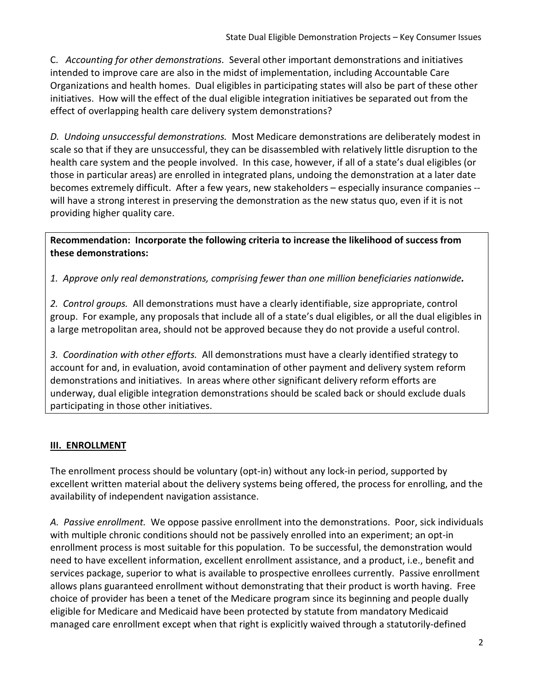C. Accounting for other demonstrations. Several other important demonstrations and initiatives intended to improve care are also in the midst of implementation, including Accountable Care Organizations and health homes. Dual eligibles in participating states will also be part of these other initiatives. How will the effect of the dual eligible integration initiatives be separated out from the effect of overlapping health care delivery system demonstrations?

D. Undoing unsuccessful demonstrations. Most Medicare demonstrations are deliberately modest in scale so that if they are unsuccessful, they can be disassembled with relatively little disruption to the health care system and the people involved. In this case, however, if all of a state's dual eligibles (or those in particular areas) are enrolled in integrated plans, undoing the demonstration at a later date becomes extremely difficult. After a few years, new stakeholders – especially insurance companies - will have a strong interest in preserving the demonstration as the new status quo, even if it is not providing higher quality care.

Recommendation: Incorporate the following criteria to increase the likelihood of success from these demonstrations:

1. Approve only real demonstrations, comprising fewer than one million beneficiaries nationwide.

2. Control groups. All demonstrations must have a clearly identifiable, size appropriate, control group. For example, any proposals that include all of a state's dual eligibles, or all the dual eligibles in a large metropolitan area, should not be approved because they do not provide a useful control.

3. Coordination with other efforts. All demonstrations must have a clearly identified strategy to account for and, in evaluation, avoid contamination of other payment and delivery system reform demonstrations and initiatives. In areas where other significant delivery reform efforts are underway, dual eligible integration demonstrations should be scaled back or should exclude duals participating in those other initiatives.

# **III. ENROLLMENT**

The enrollment process should be voluntary (opt-in) without any lock-in period, supported by excellent written material about the delivery systems being offered, the process for enrolling, and the availability of independent navigation assistance.

A. Passive enrollment. We oppose passive enrollment into the demonstrations. Poor, sick individuals with multiple chronic conditions should not be passively enrolled into an experiment; an opt-in enrollment process is most suitable for this population. To be successful, the demonstration would need to have excellent information, excellent enrollment assistance, and a product, i.e., benefit and services package, superior to what is available to prospective enrollees currently. Passive enrollment allows plans guaranteed enrollment without demonstrating that their product is worth having. Free choice of provider has been a tenet of the Medicare program since its beginning and people dually eligible for Medicare and Medicaid have been protected by statute from mandatory Medicaid managed care enrollment except when that right is explicitly waived through a statutorily-defined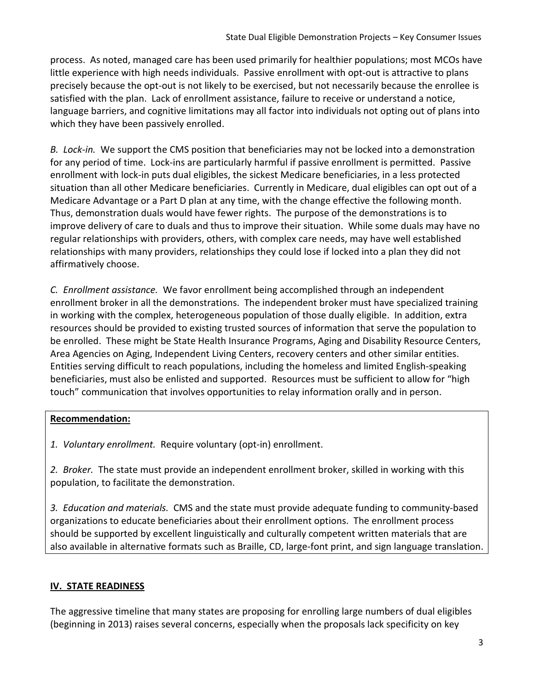process. As noted, managed care has been used primarily for healthier populations; most MCOs have little experience with high needs individuals. Passive enrollment with opt-out is attractive to plans precisely because the opt-out is not likely to be exercised, but not necessarily because the enrollee is satisfied with the plan. Lack of enrollment assistance, failure to receive or understand a notice, language barriers, and cognitive limitations may all factor into individuals not opting out of plans into which they have been passively enrolled.

B. Lock-in. We support the CMS position that beneficiaries may not be locked into a demonstration for any period of time. Lock-ins are particularly harmful if passive enrollment is permitted. Passive enrollment with lock-in puts dual eligibles, the sickest Medicare beneficiaries, in a less protected situation than all other Medicare beneficiaries. Currently in Medicare, dual eligibles can opt out of a Medicare Advantage or a Part D plan at any time, with the change effective the following month. Thus, demonstration duals would have fewer rights. The purpose of the demonstrations is to improve delivery of care to duals and thus to improve their situation. While some duals may have no regular relationships with providers, others, with complex care needs, may have well established relationships with many providers, relationships they could lose if locked into a plan they did not affirmatively choose.

C. Enrollment assistance. We favor enrollment being accomplished through an independent enrollment broker in all the demonstrations. The independent broker must have specialized training in working with the complex, heterogeneous population of those dually eligible. In addition, extra resources should be provided to existing trusted sources of information that serve the population to be enrolled. These might be State Health Insurance Programs, Aging and Disability Resource Centers, Area Agencies on Aging, Independent Living Centers, recovery centers and other similar entities. Entities serving difficult to reach populations, including the homeless and limited English-speaking beneficiaries, must also be enlisted and supported. Resources must be sufficient to allow for "high touch" communication that involves opportunities to relay information orally and in person.

### Recommendation:

1. Voluntary enrollment. Require voluntary (opt-in) enrollment.

2. Broker. The state must provide an independent enrollment broker, skilled in working with this population, to facilitate the demonstration.

3. Education and materials. CMS and the state must provide adequate funding to community-based organizations to educate beneficiaries about their enrollment options. The enrollment process should be supported by excellent linguistically and culturally competent written materials that are also available in alternative formats such as Braille, CD, large-font print, and sign language translation.

# IV. STATE READINESS

The aggressive timeline that many states are proposing for enrolling large numbers of dual eligibles (beginning in 2013) raises several concerns, especially when the proposals lack specificity on key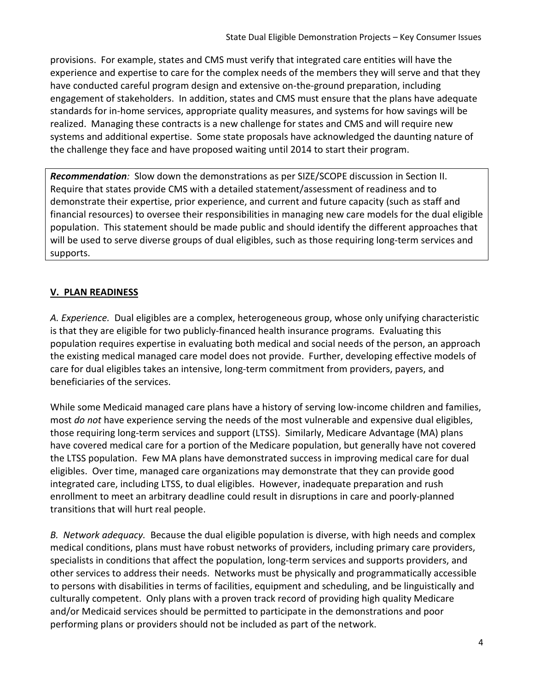provisions. For example, states and CMS must verify that integrated care entities will have the experience and expertise to care for the complex needs of the members they will serve and that they have conducted careful program design and extensive on-the-ground preparation, including engagement of stakeholders. In addition, states and CMS must ensure that the plans have adequate standards for in-home services, appropriate quality measures, and systems for how savings will be realized. Managing these contracts is a new challenge for states and CMS and will require new systems and additional expertise. Some state proposals have acknowledged the daunting nature of the challenge they face and have proposed waiting until 2014 to start their program.

Recommendation: Slow down the demonstrations as per SIZE/SCOPE discussion in Section II. Require that states provide CMS with a detailed statement/assessment of readiness and to demonstrate their expertise, prior experience, and current and future capacity (such as staff and financial resources) to oversee their responsibilities in managing new care models for the dual eligible population. This statement should be made public and should identify the different approaches that will be used to serve diverse groups of dual eligibles, such as those requiring long-term services and supports.

# V. PLAN READINESS

A. Experience. Dual eligibles are a complex, heterogeneous group, whose only unifying characteristic is that they are eligible for two publicly-financed health insurance programs. Evaluating this population requires expertise in evaluating both medical and social needs of the person, an approach the existing medical managed care model does not provide. Further, developing effective models of care for dual eligibles takes an intensive, long-term commitment from providers, payers, and beneficiaries of the services.

While some Medicaid managed care plans have a history of serving low-income children and families, most do not have experience serving the needs of the most vulnerable and expensive dual eligibles, those requiring long-term services and support (LTSS). Similarly, Medicare Advantage (MA) plans have covered medical care for a portion of the Medicare population, but generally have not covered the LTSS population. Few MA plans have demonstrated success in improving medical care for dual eligibles. Over time, managed care organizations may demonstrate that they can provide good integrated care, including LTSS, to dual eligibles. However, inadequate preparation and rush enrollment to meet an arbitrary deadline could result in disruptions in care and poorly-planned transitions that will hurt real people.

B. Network adequacy. Because the dual eligible population is diverse, with high needs and complex medical conditions, plans must have robust networks of providers, including primary care providers, specialists in conditions that affect the population, long-term services and supports providers, and other services to address their needs. Networks must be physically and programmatically accessible to persons with disabilities in terms of facilities, equipment and scheduling, and be linguistically and culturally competent. Only plans with a proven track record of providing high quality Medicare and/or Medicaid services should be permitted to participate in the demonstrations and poor performing plans or providers should not be included as part of the network.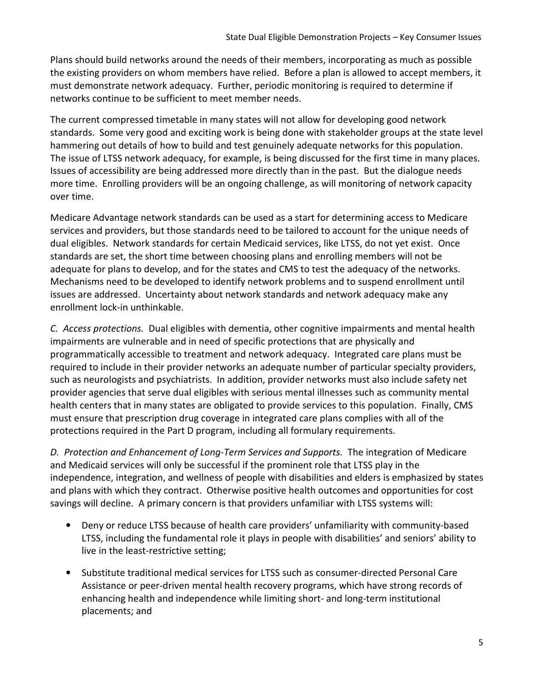Plans should build networks around the needs of their members, incorporating as much as possible the existing providers on whom members have relied. Before a plan is allowed to accept members, it must demonstrate network adequacy. Further, periodic monitoring is required to determine if networks continue to be sufficient to meet member needs.

The current compressed timetable in many states will not allow for developing good network standards. Some very good and exciting work is being done with stakeholder groups at the state level hammering out details of how to build and test genuinely adequate networks for this population. The issue of LTSS network adequacy, for example, is being discussed for the first time in many places. Issues of accessibility are being addressed more directly than in the past. But the dialogue needs more time. Enrolling providers will be an ongoing challenge, as will monitoring of network capacity over time.

Medicare Advantage network standards can be used as a start for determining access to Medicare services and providers, but those standards need to be tailored to account for the unique needs of dual eligibles. Network standards for certain Medicaid services, like LTSS, do not yet exist. Once standards are set, the short time between choosing plans and enrolling members will not be adequate for plans to develop, and for the states and CMS to test the adequacy of the networks. Mechanisms need to be developed to identify network problems and to suspend enrollment until issues are addressed. Uncertainty about network standards and network adequacy make any enrollment lock-in unthinkable.

C. Access protections. Dual eligibles with dementia, other cognitive impairments and mental health impairments are vulnerable and in need of specific protections that are physically and programmatically accessible to treatment and network adequacy. Integrated care plans must be required to include in their provider networks an adequate number of particular specialty providers, such as neurologists and psychiatrists. In addition, provider networks must also include safety net provider agencies that serve dual eligibles with serious mental illnesses such as community mental health centers that in many states are obligated to provide services to this population. Finally, CMS must ensure that prescription drug coverage in integrated care plans complies with all of the protections required in the Part D program, including all formulary requirements.

D. Protection and Enhancement of Long-Term Services and Supports. The integration of Medicare and Medicaid services will only be successful if the prominent role that LTSS play in the independence, integration, and wellness of people with disabilities and elders is emphasized by states and plans with which they contract. Otherwise positive health outcomes and opportunities for cost savings will decline. A primary concern is that providers unfamiliar with LTSS systems will:

- Deny or reduce LTSS because of health care providers' unfamiliarity with community-based LTSS, including the fundamental role it plays in people with disabilities' and seniors' ability to live in the least-restrictive setting;
- Substitute traditional medical services for LTSS such as consumer-directed Personal Care Assistance or peer-driven mental health recovery programs, which have strong records of enhancing health and independence while limiting short- and long-term institutional placements; and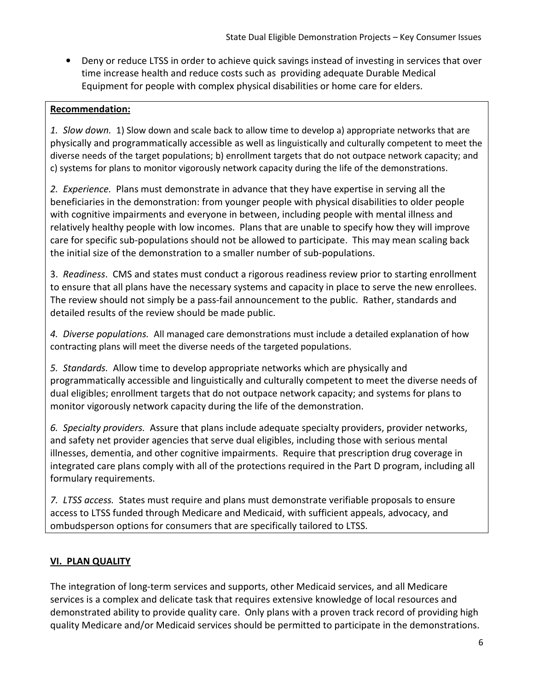• Deny or reduce LTSS in order to achieve quick savings instead of investing in services that over time increase health and reduce costs such as providing adequate Durable Medical Equipment for people with complex physical disabilities or home care for elders.

### Recommendation:

1. Slow down. 1) Slow down and scale back to allow time to develop a) appropriate networks that are physically and programmatically accessible as well as linguistically and culturally competent to meet the diverse needs of the target populations; b) enrollment targets that do not outpace network capacity; and c) systems for plans to monitor vigorously network capacity during the life of the demonstrations.

2. *Experience*. Plans must demonstrate in advance that they have expertise in serving all the beneficiaries in the demonstration: from younger people with physical disabilities to older people with cognitive impairments and everyone in between, including people with mental illness and relatively healthy people with low incomes. Plans that are unable to specify how they will improve care for specific sub-populations should not be allowed to participate. This may mean scaling back the initial size of the demonstration to a smaller number of sub-populations.

3. Readiness. CMS and states must conduct a rigorous readiness review prior to starting enrollment to ensure that all plans have the necessary systems and capacity in place to serve the new enrollees. The review should not simply be a pass-fail announcement to the public. Rather, standards and detailed results of the review should be made public.

4. Diverse populations. All managed care demonstrations must include a detailed explanation of how contracting plans will meet the diverse needs of the targeted populations.

5. Standards. Allow time to develop appropriate networks which are physically and programmatically accessible and linguistically and culturally competent to meet the diverse needs of dual eligibles; enrollment targets that do not outpace network capacity; and systems for plans to monitor vigorously network capacity during the life of the demonstration.

6. Specialty providers. Assure that plans include adequate specialty providers, provider networks, and safety net provider agencies that serve dual eligibles, including those with serious mental illnesses, dementia, and other cognitive impairments. Require that prescription drug coverage in integrated care plans comply with all of the protections required in the Part D program, including all formulary requirements.

7. LTSS access. States must require and plans must demonstrate verifiable proposals to ensure access to LTSS funded through Medicare and Medicaid, with sufficient appeals, advocacy, and ombudsperson options for consumers that are specifically tailored to LTSS.

# VI. PLAN QUALITY

The integration of long-term services and supports, other Medicaid services, and all Medicare services is a complex and delicate task that requires extensive knowledge of local resources and demonstrated ability to provide quality care. Only plans with a proven track record of providing high quality Medicare and/or Medicaid services should be permitted to participate in the demonstrations.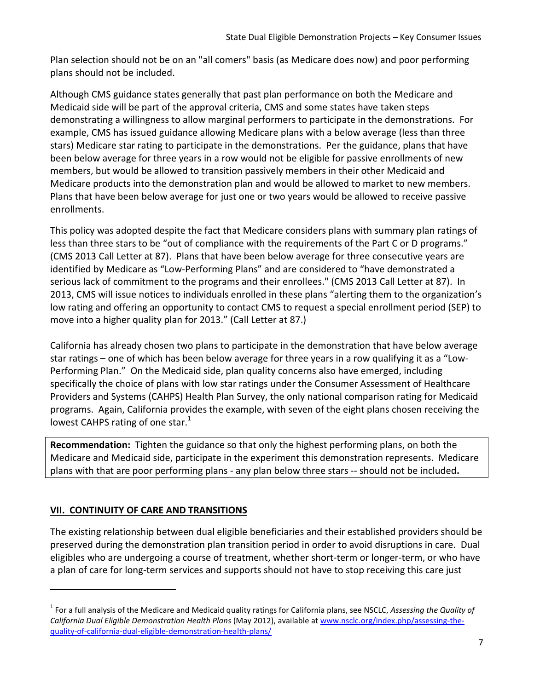Plan selection should not be on an "all comers" basis (as Medicare does now) and poor performing plans should not be included.

Although CMS guidance states generally that past plan performance on both the Medicare and Medicaid side will be part of the approval criteria, CMS and some states have taken steps demonstrating a willingness to allow marginal performers to participate in the demonstrations. For example, CMS has issued guidance allowing Medicare plans with a below average (less than three stars) Medicare star rating to participate in the demonstrations. Per the guidance, plans that have been below average for three years in a row would not be eligible for passive enrollments of new members, but would be allowed to transition passively members in their other Medicaid and Medicare products into the demonstration plan and would be allowed to market to new members. Plans that have been below average for just one or two years would be allowed to receive passive enrollments.

 This policy was adopted despite the fact that Medicare considers plans with summary plan ratings of less than three stars to be "out of compliance with the requirements of the Part C or D programs." (CMS 2013 Call Letter at 87). Plans that have been below average for three consecutive years are identified by Medicare as "Low-Performing Plans" and are considered to "have demonstrated a serious lack of commitment to the programs and their enrollees." (CMS 2013 Call Letter at 87). In 2013, CMS will issue notices to individuals enrolled in these plans "alerting them to the organization's low rating and offering an opportunity to contact CMS to request a special enrollment period (SEP) to move into a higher quality plan for 2013." (Call Letter at 87.)

California has already chosen two plans to participate in the demonstration that have below average star ratings – one of which has been below average for three years in a row qualifying it as a "Low-Performing Plan." On the Medicaid side, plan quality concerns also have emerged, including specifically the choice of plans with low star ratings under the Consumer Assessment of Healthcare Providers and Systems (CAHPS) Health Plan Survey, the only national comparison rating for Medicaid programs. Again, California provides the example, with seven of the eight plans chosen receiving the lowest CAHPS rating of one star. $1$ 

Recommendation: Tighten the guidance so that only the highest performing plans, on both the Medicare and Medicaid side, participate in the experiment this demonstration represents. Medicare plans with that are poor performing plans - any plan below three stars -- should not be included.

# VII. CONTINUITY OF CARE AND TRANSITIONS

l

The existing relationship between dual eligible beneficiaries and their established providers should be preserved during the demonstration plan transition period in order to avoid disruptions in care. Dual eligibles who are undergoing a course of treatment, whether short-term or longer-term, or who have a plan of care for long-term services and supports should not have to stop receiving this care just

 $^1$  For a full analysis of the Medicare and Medicaid quality ratings for California plans, see NSCLC, Assessing the Quality of California Dual Eligible Demonstration Health Plans (May 2012), available at www.nsclc.org/index.php/assessing-thequality-of-california-dual-eligible-demonstration-health-plans/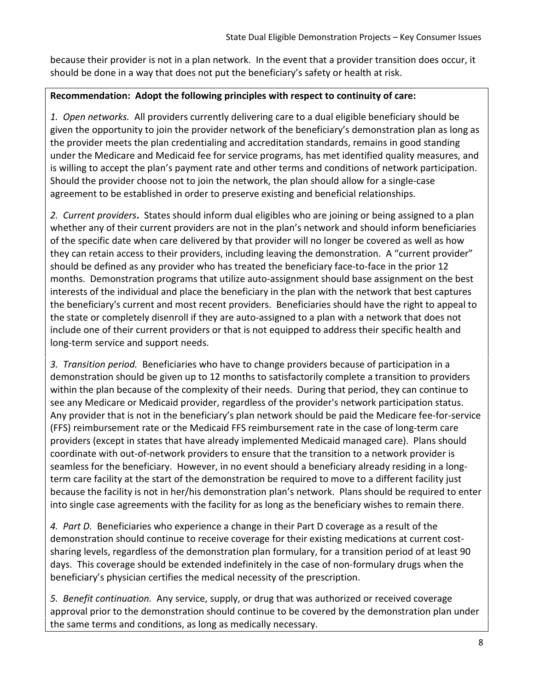because their provider is not in a plan network. In the event that a provider transition does occur, it should be done in a way that does not put the beneficiary's safety or health at risk.

### Recommendation: Adopt the following principles with respect to continuity of care:

1. Open networks. All providers currently delivering care to a dual eligible beneficiary should be given the opportunity to join the provider network of the beneficiary's demonstration plan as long as the provider meets the plan credentialing and accreditation standards, remains in good standing under the Medicare and Medicaid fee for service programs, has met identified quality measures, and is willing to accept the plan's payment rate and other terms and conditions of network participation. Should the provider choose not to join the network, the plan should allow for a single-case agreement to be established in order to preserve existing and beneficial relationships.

2. Current providers. States should inform dual eligibles who are joining or being assigned to a plan whether any of their current providers are not in the plan's network and should inform beneficiaries of the specific date when care delivered by that provider will no longer be covered as well as how they can retain access to their providers, including leaving the demonstration. A "current provider" should be defined as any provider who has treated the beneficiary face-to-face in the prior 12 months. Demonstration programs that utilize auto-assignment should base assignment on the best interests of the individual and place the beneficiary in the plan with the network that best captures the beneficiary's current and most recent providers. Beneficiaries should have the right to appeal to the state or completely disenroll if they are auto-assigned to a plan with a network that does not include one of their current providers or that is not equipped to address their specific health and long-term service and support needs.

3. Transition period. Beneficiaries who have to change providers because of participation in a demonstration should be given up to 12 months to satisfactorily complete a transition to providers within the plan because of the complexity of their needs. During that period, they can continue to see any Medicare or Medicaid provider, regardless of the provider's network participation status. Any provider that is not in the beneficiary's plan network should be paid the Medicare fee-for-service (FFS) reimbursement rate or the Medicaid FFS reimbursement rate in the case of long-term care providers (except in states that have already implemented Medicaid managed care). Plans should coordinate with out-of-network providers to ensure that the transition to a network provider is seamless for the beneficiary. However, in no event should a beneficiary already residing in a longterm care facility at the start of the demonstration be required to move to a different facility just because the facility is not in her/his demonstration plan's network. Plans should be required to enter into single case agreements with the facility for as long as the beneficiary wishes to remain there.

4. Part D. Beneficiaries who experience a change in their Part D coverage as a result of the demonstration should continue to receive coverage for their existing medications at current costsharing levels, regardless of the demonstration plan formulary, for a transition period of at least 90 days. This coverage should be extended indefinitely in the case of non-formulary drugs when the beneficiary's physician certifies the medical necessity of the prescription.

5. Benefit continuation. Any service, supply, or drug that was authorized or received coverage approval prior to the demonstration should continue to be covered by the demonstration plan under the same terms and conditions, as long as medically necessary.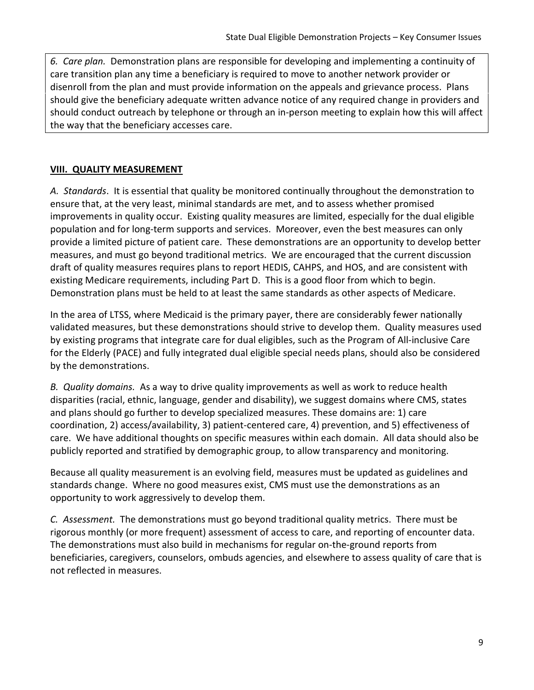6. Care plan. Demonstration plans are responsible for developing and implementing a continuity of care transition plan any time a beneficiary is required to move to another network provider or disenroll from the plan and must provide information on the appeals and grievance process. Plans should give the beneficiary adequate written advance notice of any required change in providers and should conduct outreach by telephone or through an in-person meeting to explain how this will affect the way that the beneficiary accesses care.

### VIII. QUALITY MEASUREMENT

A. Standards. It is essential that quality be monitored continually throughout the demonstration to ensure that, at the very least, minimal standards are met, and to assess whether promised improvements in quality occur. Existing quality measures are limited, especially for the dual eligible population and for long-term supports and services. Moreover, even the best measures can only provide a limited picture of patient care. These demonstrations are an opportunity to develop better measures, and must go beyond traditional metrics. We are encouraged that the current discussion draft of quality measures requires plans to report HEDIS, CAHPS, and HOS, and are consistent with existing Medicare requirements, including Part D. This is a good floor from which to begin. Demonstration plans must be held to at least the same standards as other aspects of Medicare.

In the area of LTSS, where Medicaid is the primary payer, there are considerably fewer nationally validated measures, but these demonstrations should strive to develop them. Quality measures used by existing programs that integrate care for dual eligibles, such as the Program of All-inclusive Care for the Elderly (PACE) and fully integrated dual eligible special needs plans, should also be considered by the demonstrations.

B. Quality domains. As a way to drive quality improvements as well as work to reduce health disparities (racial, ethnic, language, gender and disability), we suggest domains where CMS, states and plans should go further to develop specialized measures. These domains are: 1) care coordination, 2) access/availability, 3) patient-centered care, 4) prevention, and 5) effectiveness of care. We have additional thoughts on specific measures within each domain. All data should also be publicly reported and stratified by demographic group, to allow transparency and monitoring.

Because all quality measurement is an evolving field, measures must be updated as guidelines and standards change. Where no good measures exist, CMS must use the demonstrations as an opportunity to work aggressively to develop them.

C. Assessment. The demonstrations must go beyond traditional quality metrics. There must be rigorous monthly (or more frequent) assessment of access to care, and reporting of encounter data. The demonstrations must also build in mechanisms for regular on-the-ground reports from beneficiaries, caregivers, counselors, ombuds agencies, and elsewhere to assess quality of care that is not reflected in measures.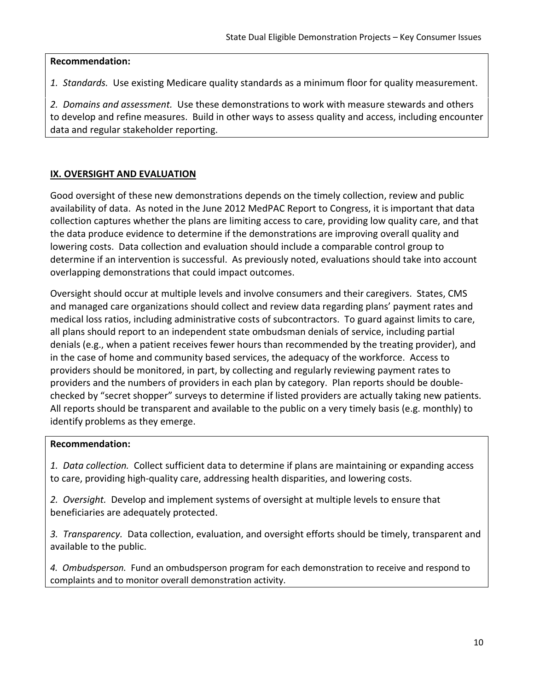#### Recommendation:

1. Standards. Use existing Medicare quality standards as a minimum floor for quality measurement.

2. Domains and assessment. Use these demonstrations to work with measure stewards and others to develop and refine measures. Build in other ways to assess quality and access, including encounter data and regular stakeholder reporting.

# IX. OVERSIGHT AND EVALUATION

Good oversight of these new demonstrations depends on the timely collection, review and public availability of data. As noted in the June 2012 MedPAC Report to Congress, it is important that data collection captures whether the plans are limiting access to care, providing low quality care, and that the data produce evidence to determine if the demonstrations are improving overall quality and lowering costs. Data collection and evaluation should include a comparable control group to determine if an intervention is successful. As previously noted, evaluations should take into account overlapping demonstrations that could impact outcomes.

Oversight should occur at multiple levels and involve consumers and their caregivers. States, CMS and managed care organizations should collect and review data regarding plans' payment rates and medical loss ratios, including administrative costs of subcontractors. To guard against limits to care, all plans should report to an independent state ombudsman denials of service, including partial denials (e.g., when a patient receives fewer hours than recommended by the treating provider), and in the case of home and community based services, the adequacy of the workforce. Access to providers should be monitored, in part, by collecting and regularly reviewing payment rates to providers and the numbers of providers in each plan by category. Plan reports should be doublechecked by "secret shopper" surveys to determine if listed providers are actually taking new patients. All reports should be transparent and available to the public on a very timely basis (e.g. monthly) to identify problems as they emerge.

### Recommendation:

1. Data collection. Collect sufficient data to determine if plans are maintaining or expanding access to care, providing high-quality care, addressing health disparities, and lowering costs.

2. Oversight. Develop and implement systems of oversight at multiple levels to ensure that beneficiaries are adequately protected.

3. Transparency. Data collection, evaluation, and oversight efforts should be timely, transparent and available to the public.

4. Ombudsperson. Fund an ombudsperson program for each demonstration to receive and respond to complaints and to monitor overall demonstration activity.